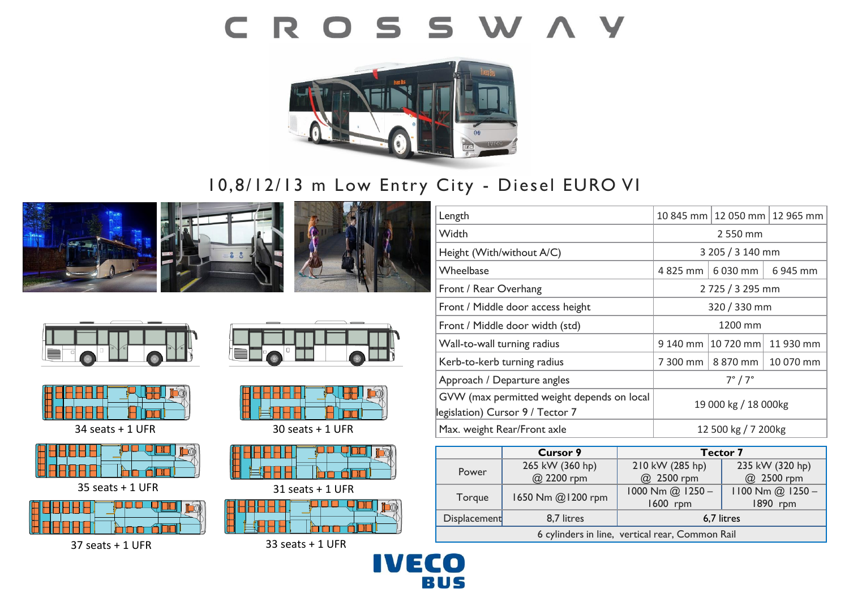# CROSSWAY



## 10,8/12/13 m Low Entry City - Diesel EURO VI











34 seats + 1 UFR



35 seats + 1 UFR



37 seats + 1 UFR





30 seats + 1 UFR



31 seats + 1 UFR



33 seats + 1 UFR

| 2 550 mm                                   |          |                                                  |
|--------------------------------------------|----------|--------------------------------------------------|
| 3 205 / 3 140 mm                           |          |                                                  |
| 4 825 mm                                   | 6 030 mm | 6945 mm                                          |
| 2725 / 3295 mm                             |          |                                                  |
| 320 / 330 mm                               |          |                                                  |
| 1200 mm                                    |          |                                                  |
| 9 140 mm                                   |          | 11 930 mm                                        |
| 7 300 mm                                   | 8 870 mm | 10 070 mm                                        |
| $7^\circ/7^\circ$                          |          |                                                  |
| 19 000 kg / 18 000kg                       |          |                                                  |
| 12 500 kg / 7 200kg                        |          |                                                  |
| GVW (max permitted weight depends on local |          | 10 845 mm   12 050 mm   12 965 mm<br>$ 10720$ mm |

|                                                 | <b>Cursor 9</b>   | <b>Tector 7</b>  |                      |  |  |
|-------------------------------------------------|-------------------|------------------|----------------------|--|--|
| Power                                           | 265 kW (360 hp)   | 210 kW (285 hp)  | 235 kW (320 hp)      |  |  |
|                                                 | @ 2200 rpm        | @ 2500 rpm       | @ 2500 rpm           |  |  |
| Torque                                          | 1650 Nm @1200 rpm | 1000 Nm @ 1250 - | $1100$ Nm $@$ 1250 - |  |  |
|                                                 |                   | 1600 rpm         | 1890 rpm             |  |  |
| <b>Displacement</b>                             | 8,7 litres        | 6,7 litres       |                      |  |  |
| 6 cylinders in line, vertical rear, Common Rail |                   |                  |                      |  |  |